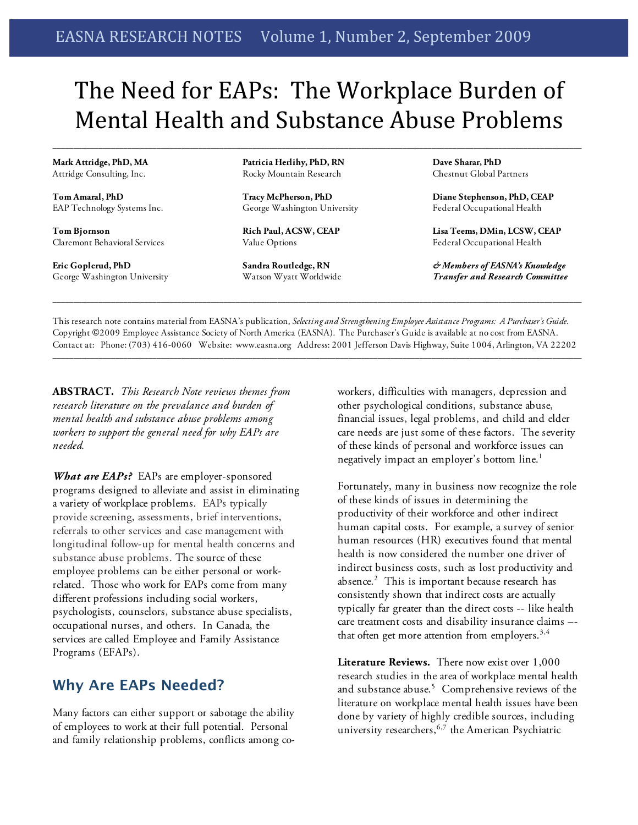# The Need for EAPs: The Workplace Burden of Mental Health and Substance Abuse Problems

**\_\_\_\_\_\_\_\_\_\_\_\_\_\_\_\_\_\_\_\_\_\_\_\_\_\_\_\_\_\_\_\_\_\_\_\_\_\_\_\_\_\_\_\_\_\_\_\_\_\_\_\_\_\_\_\_\_\_\_\_\_\_\_\_\_\_\_\_\_\_\_\_\_\_\_\_\_\_\_\_\_\_\_\_\_\_\_\_\_\_\_\_\_\_\_\_\_\_\_\_\_\_\_\_\_\_\_\_\_\_\_\_\_\_\_\_\_\_\_\_\_\_\_\_\_\_\_**

**Mark Attridge, PhD, MA** Attridge Consulting, Inc.

**Tom Amaral, PhD** EAP Technology Systems Inc.

**Tom Bjornson** Claremont Behavioral Services

**Eric Goplerud, PhD** George Washington University **Patricia Herlihy, PhD, RN** Rocky Mountain Research

**Tracy McPherson, PhD** George Washington University

**Rich Paul, ACSW, CEAP** Value Options

**Sandra Routledge, RN** Watson Wyatt Worldwide **Dave Sharar, PhD** Chestnut Global Partners

**Diane Stephenson, PhD, CEAP** Federal Occupational Health

**Lisa Teems, DMin, LCSW, CEAP** Federal Occupational Health

*& Members of EASNA's Knowledge Transfer and Research Committee*

This research note contains material from EASNA's publication, *Selecting and Strengthening Employee Assistance Programs: A Purchaser's Guide.* Copyright ©2009 Employee Assistance Society of North America (EASNA). The Purchaser's Guide is available at no cost from EASNA. Contact at: Phone: (703) 416-0060 Website: www.easna.org Address: 2001 Jefferson Davis Highway, Suite 1004, Arlington, VA 22202

**\_\_\_\_\_\_\_\_\_\_\_\_\_\_\_\_\_\_\_\_\_\_\_\_\_\_\_\_\_\_\_\_\_\_\_\_\_\_\_\_\_\_\_\_\_\_\_\_\_\_\_\_\_\_\_\_\_\_\_\_\_\_\_\_\_\_\_\_\_\_\_\_\_\_\_\_\_\_\_\_\_\_\_\_\_\_\_\_\_\_\_\_\_\_\_\_\_\_\_\_\_\_\_\_\_\_\_\_\_\_\_\_\_\_\_\_\_\_\_\_\_\_\_\_\_\_\_**

**\_\_\_\_\_\_\_\_\_\_\_\_\_\_\_\_\_\_\_\_\_\_\_\_\_\_\_\_\_\_\_\_\_\_\_\_\_\_\_\_\_\_\_\_\_\_\_\_\_\_\_\_\_\_\_\_\_\_\_\_\_\_\_\_\_\_\_\_\_\_\_\_\_\_\_\_\_\_\_\_\_\_\_\_\_\_\_\_\_\_\_\_\_\_\_\_\_\_\_\_\_\_\_\_\_\_\_\_\_\_\_\_\_\_\_\_\_\_\_\_\_\_\_\_\_\_\_**

**ABSTRACT.** *This Research Note reviews themes from research literature on the prevalance and burden of mental health and substance abuse problems among workers to support the general need for why EAPs are needed.* 

*What are EAPs?* EAPs are employer-sponsored programs designed to alleviate and assist in eliminating a variety of workplace problems. EAPs typically provide screening, assessments, brief interventions, referrals to other services and case management with longitudinal follow-up for mental health concerns and substance abuse problems. The source of these employee problems can be either personal or workrelated. Those who work for EAPs come from many different professions including social workers, psychologists, counselors, substance abuse specialists, occupational nurses, and others. In Canada, the services are called Employee and Family Assistance Programs (EFAPs).

## **Why Are EAPs Needed?**

Many factors can either support or sabotage the ability of employees to work at their full potential. Personal and family relationship problems, conflicts among coworkers, difficulties with managers, depression and other psychological conditions, substance abuse, financial issues, legal problems, and child and elder care needs are just some of these factors. The severity of these kinds of personal and workforce issues can negatively impact an employer's bottom line.<sup>1</sup>

Fortunately, many in business now recognize the role of these kinds of issues in determining the productivity of their workforce and other indirect human capital costs. For example, a survey of senior human resources (HR) executives found that mental health is now considered the number one driver of indirect business costs, such as lost productivity and absence. 2 This is important because research has consistently shown that indirect costs are actually typically far greater than the direct costs -- like health care treatment costs and disability insurance claims – that often get more attention from employers. $^{3,4}$ 

**Literature Reviews.** There now exist over 1,000 research studies in the area of workplace mental health and substance abuse. 5 Comprehensive reviews of the literature on workplace mental health issues have been done by variety of highly credible sources, including university researchers, 6,7 the American Psychiatric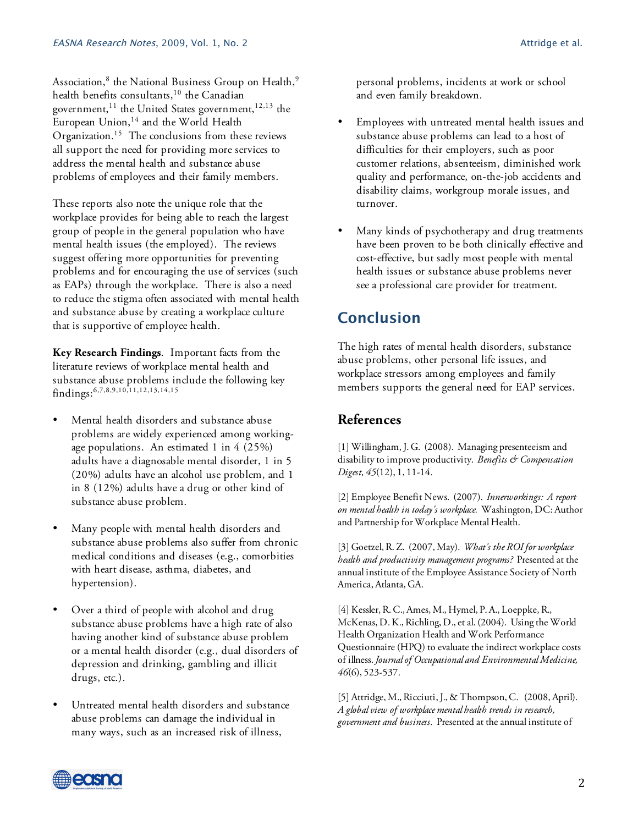Association, $^8$  the National Business Group on Health, $^9$ health benefits consultants,<sup>10</sup> the Canadian government,<sup>11</sup> the United States government,<sup>12,13</sup> the European Union, <sup>14</sup> and the World Health Organization.<sup>15</sup> The conclusions from these reviews all support the need for providing more services to address the mental health and substance abuse problems of employees and their family members.

These reports also note the unique role that the workplace provides for being able to reach the largest group of people in the general population who have mental health issues (the employed). The reviews suggest offering more opportunities for preventing problems and for encouraging the use of services (such as EAPs) through the workplace. There is also a need to reduce the stigma often associated with mental health and substance abuse by creating a workplace culture that is supportive of employee health.

**Key Research Findings**. Important facts from the literature reviews of workplace mental health and substance abuse problems include the following key findings: 6,7,8,9,10,11,12,13,14,15

- Mental health disorders and substance abuse problems are widely experienced among workingage populations. An estimated 1 in 4 (25%) adults have a diagnosable mental disorder, 1 in 5 (20%) adults have an alcohol use problem, and 1 in 8 (12%) adults have a drug or other kind of substance abuse problem.
- Many people with mental health disorders and substance abuse problems also suffer from chronic medical conditions and diseases (e.g., comorbities with heart disease, asthma, diabetes, and hypertension).
- Over a third of people with alcohol and drug substance abuse problems have a high rate of also having another kind of substance abuse problem or a mental health disorder (e.g., dual disorders of depression and drinking, gambling and illicit drugs, etc.).
- Untreated mental health disorders and substance abuse problems can damage the individual in many ways, such as an increased risk of illness,

personal problems, incidents at work or school and even family breakdown.

- Employees with untreated mental health issues and substance abuse problems can lead to a host of difficulties for their employers, such as poor customer relations, absenteeism, diminished work quality and performance, on-the-job accidents and disability claims, workgroup morale issues, and turnover.
- Many kinds of psychotherapy and drug treatments have been proven to be both clinically effective and cost-effective, but sadly most people with mental health issues or substance abuse problems never see a professional care provider for treatment.

# **Conclusion**

The high rates of mental health disorders, substance abuse problems, other personal life issues, and workplace stressors among employees and family members supports the general need for EAP services.

### **References**

[1] Willingham, J. G. (2008). Managing presenteeism and disability to improve productivity. *Benefits & Compensation Digest, 45*(12), 1, 11-14.

[2] Employee Benefit News. (2007). *Innerworkings: A report on mental health in today's workplace.* Washington, DC: Author and Partnership for Workplace Mental Health.

[3] Goetzel, R. Z. (2007, May). *What's the ROI for workplace health and productivity management programs?* Presented at the annual institute of the Employee Assistance Society of North America, Atlanta, GA.

[4] Kessler, R. C., Ames, M., Hymel, P. A., Loeppke, R., McKenas, D. K., Richling, D., et al. (2004). Using the World Health Organization Health and Work Performance Questionnaire (HPQ) to evaluate the indirect workplace costs of illness. *Journal of Occupational and Environmental Medicine, 46*(6), 523-537.

[5] Attridge, M., Ricciuti, J., & Thompson, C. (2008, April). *A global view of workplace mental health trends in research, government and business.* Presented at the annual institute of